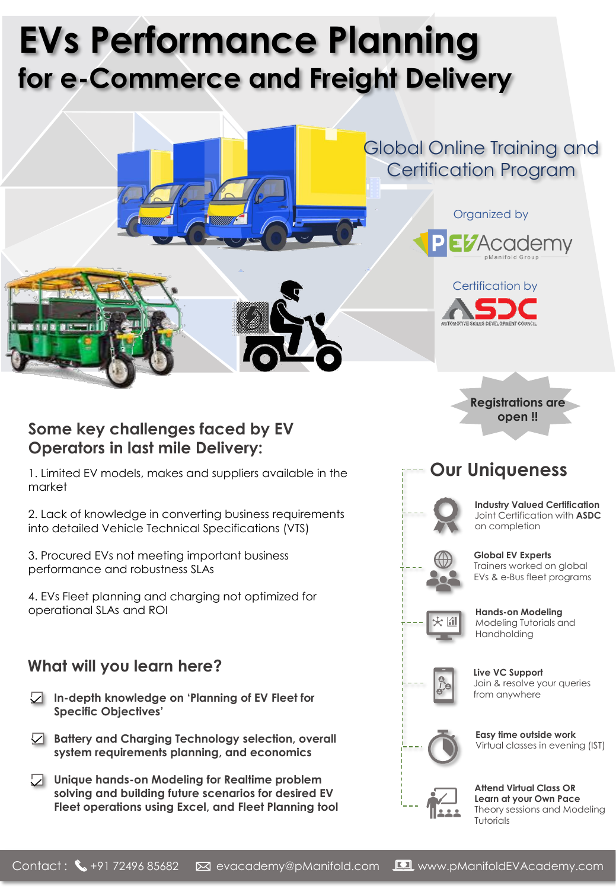# **EVs Performance Planning for e-Commerce and Freight Delivery**



### **Some key challenges faced by EV Operators in last mile Delivery:**

1. Limited EV models, makes and suppliers available in the market

2. Lack of knowledge in converting business requirements into detailed Vehicle Technical Specifications (VTS)

3. Procured EVs not meeting important business performance and robustness SLAs

4. EVs Fleet planning and charging not optimized for operational SLAs and ROI

### **What will you learn here?**

- **In-depth knowledge on 'Planning of EV Fleet for Specific Objectives'**
- **Battery and Charging Technology selection, overall system requirements planning, and economics**
- **Unique hands-on Modeling for Realtime problem solving and building future scenarios for desired EV Fleet operations using Excel, and Fleet Planning tool**

**Our Uniqueness**

**open !!**



**Industry Valued Certification** Joint Certification with **ASDC** on completion



Trainers worked on global EVs & e-Bus fleet programs

**Global EV Experts**



**Hands-on Modeling** Modeling Tutorials and Handholding



**Live VC Support** Join & resolve your queries from anywhere



**Easy time outside work** Virtual classes in evening (IST)



**Attend Virtual Class OR Learn at your Own Pace** Theory sessions and Modeling Tutorials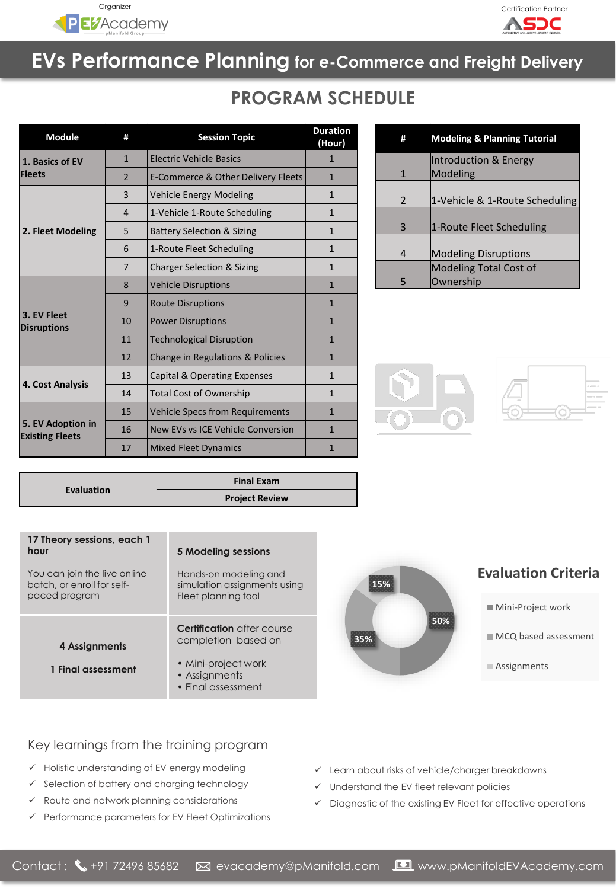



## **EVs Performance Planning for e-Commerce and Freight Delivery**

## **PROGRAM SCHEDULE**

| <b>Module</b>                               | #              | <b>Session Topic</b>                   | <b>Duration</b><br>(Hour) |
|---------------------------------------------|----------------|----------------------------------------|---------------------------|
| 1. Basics of EV<br><b>Fleets</b>            | $\mathbf{1}$   | <b>Electric Vehicle Basics</b>         | 1                         |
|                                             | $\overline{2}$ | E-Commerce & Other Delivery Fleets     | $\mathbf{1}$              |
| 2. Fleet Modeling                           | 3              | <b>Vehicle Energy Modeling</b>         | $\mathbf{1}$              |
|                                             | 4              | 1-Vehicle 1-Route Scheduling           | $\mathbf{1}$              |
|                                             | 5              | <b>Battery Selection &amp; Sizing</b>  | $\mathbf{1}$              |
|                                             | 6              | 1-Route Fleet Scheduling               | $\mathbf{1}$              |
|                                             | 7              | <b>Charger Selection &amp; Sizing</b>  | $\mathbf{1}$              |
| 3. EV Fleet<br><b>Disruptions</b>           | 8              | <b>Vehicle Disruptions</b>             | $\mathbf{1}$              |
|                                             | 9              | <b>Route Disruptions</b>               | $\mathbf{1}$              |
|                                             | 10             | <b>Power Disruptions</b>               | $\mathbf{1}$              |
|                                             | 11             | <b>Technological Disruption</b>        | $\mathbf{1}$              |
|                                             | 12             | Change in Regulations & Policies       | $\mathbf{1}$              |
| 4. Cost Analysis                            | 13             | Capital & Operating Expenses           | $\mathbf{1}$              |
|                                             | 14             | <b>Total Cost of Ownership</b>         | $\mathbf{1}$              |
| 5. EV Adoption in<br><b>Existing Fleets</b> | 15             | <b>Vehicle Specs from Requirements</b> | $\mathbf{1}$              |
|                                             | 16             | New EVs vs ICE Vehicle Conversion      | $\mathbf{1}$              |
|                                             | 17             | <b>Mixed Fleet Dynamics</b>            | 1                         |

| Ħ            | <b>Modeling &amp; Planning Tutorial</b> |
|--------------|-----------------------------------------|
|              | Introduction & Energy                   |
| $\mathbf{1}$ | Modeling                                |
| 2            | 1-Vehicle & 1-Route Scheduling          |
| 3            | 1-Route Fleet Scheduling                |
| 4            | <b>Modeling Disruptions</b>             |
|              | <b>Modeling Total Cost of</b>           |
| 5            | Ownership                               |





|                   | <b>Final Exam</b>     |
|-------------------|-----------------------|
| <b>Evaluation</b> | <b>Project Review</b> |

| 17 Theory sessions, each 1<br>hour                                          | 5 Modeling sessions                                                                                                    |  |
|-----------------------------------------------------------------------------|------------------------------------------------------------------------------------------------------------------------|--|
| You can join the live online<br>batch, or enroll for self-<br>paced program | Hands-on modeling and<br>simulation assignments using<br>Fleet planning tool                                           |  |
| 4 Assignments<br>1 Final assessment                                         | <b>Certification</b> after course<br>completion based on<br>• Mini-project work<br>• Assignments<br>• Final assessment |  |

# **50% 35% 15%**

#### **Evaluation Criteria**

- Mini-Project work
- $MCO$  based assessment
- **Assignments**

- Key learnings from the training program
- ✓ Holistic understanding of EV energy modeling
- ✓ Selection of battery and charging technology
- ✓ Route and network planning considerations
- ✓ Performance parameters for EV Fleet Optimizations
- ✓ Learn about risks of vehicle/charger breakdowns
- ✓ Understand the EV fleet relevant policies
- ✓ Diagnostic of the existing EV Fleet for effective operations